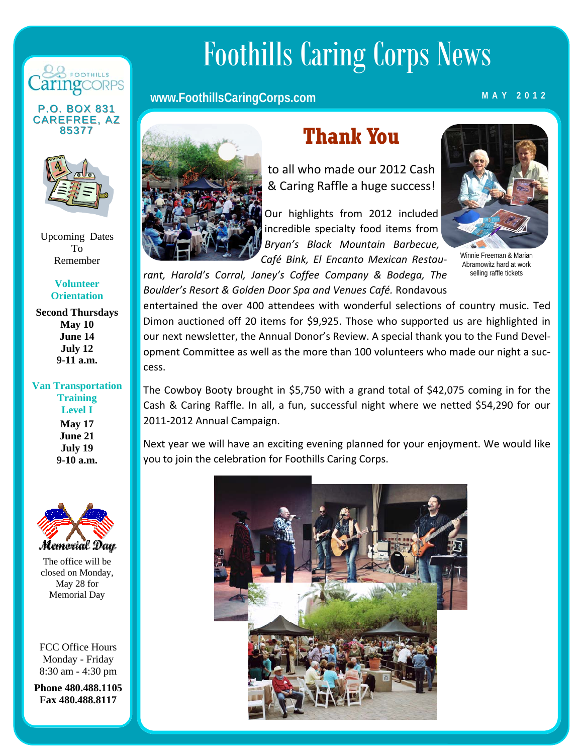

**P.O. BOX 831 CAREFREE, AZ** 85377



Upcoming Dates To Remember

> **Volunteer Orientation**

**Second Thursdays May 10 June 14 July 12 9-11 a.m.** 

#### **Van Transportation Training Level I May 17 June 21 July 19 9-10 a.m.**



The office will be closed on Monday, May 28 for Memorial Day

FCC Office Hours Monday - Friday 8:30 am - 4:30 pm

**Phone 480.488.1105 Fax 480.488.8117** 

# Foothills Caring Corps News

#### **www.FoothillsCaringCorps.com** MAY 2012



## **Thank You**

to all who made our 2012 Cash & Caring Raffle a huge success!

Our highlights from 2012 included incredible specialty food items from *Bryan's Black Mountain Barbecue, Café Bink, El Encanto Mexican Restau‐*



Winnie Freeman & Marian Abramowitz hard at work selling raffle tickets

*rant, Harold's Corral, Janey's Coffee Company & Bodega, The Boulder's Resort & Golden Door Spa and Venues Café.* Rondavous

entertained the over 400 attendees with wonderful selections of country music. Ted Dimon auctioned off 20 items for \$9,925. Those who supported us are highlighted in our next newsletter, the Annual Donor's Review. A special thank you to the Fund Devel‐ opment Committee as well as the more than 100 volunteers who made our night a suc‐ cess.

The Cowboy Booty brought in \$5,750 with a grand total of \$42,075 coming in for the Cash & Caring Raffle. In all, a fun, successful night where we netted \$54,290 for our 2011‐2012 Annual Campaign.

Next year we will have an exciting evening planned for your enjoyment. We would like you to join the celebration for Foothills Caring Corps.

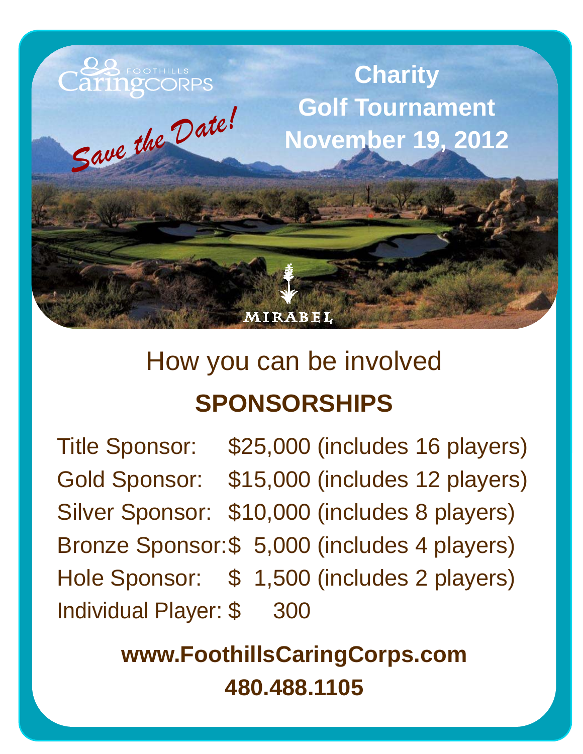

## How you can be involved **SPONSORSHIPS**

Title Sponsor: \$25,000 (includes 16 players) Gold Sponsor: \$15,000 (includes 12 players) Silver Sponsor: \$10,000 (includes 8 players) Bronze Sponsor: \$ 5,000 (includes 4 players) Hole Sponsor: \$ 1,500 (includes 2 players) Individual Player: \$ 300

> **www.FoothillsCaringCorps.com 480.488.1105**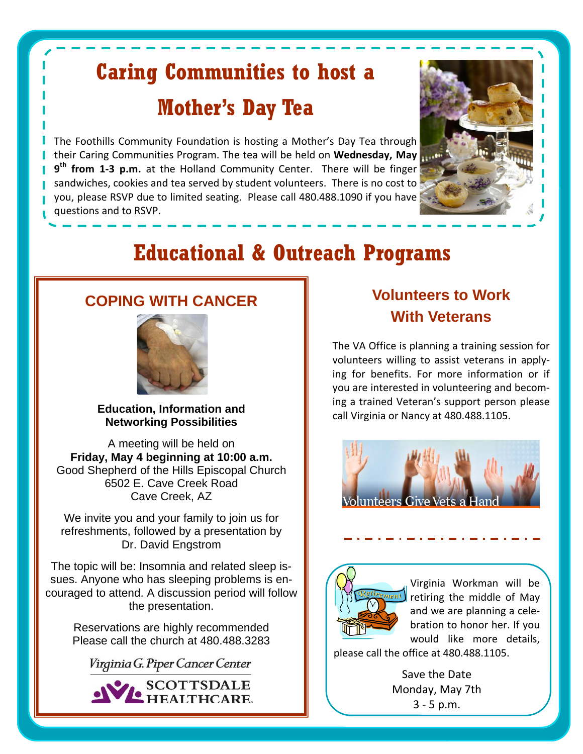## **Caring Communities to host a Mother's Day Tea**

The Foothills Community Foundation is hosting a Mother's Day Tea through their Caring Communities Program. The tea will be held on **Wednesday, May 9th from 1‐3 p.m.** at the Holland Community Center. There will be finger sandwiches, cookies and tea served by student volunteers. There is no cost to you, please RSVP due to limited seating. Please call 480.488.1090 if you have questions and to RSVP.



## **Educational & Outreach Programs**

#### **COPING WITH CANCER**



**Education, Information and Networking Possibilities** 

A meeting will be held on **Friday, May 4 beginning at 10:00 a.m.** Good Shepherd of the Hills Episcopal Church 6502 E. Cave Creek Road Cave Creek, AZ

We invite you and your family to join us for refreshments, followed by a presentation by Dr. David Engstrom

The topic will be: Insomnia and related sleep issues. Anyone who has sleeping problems is encouraged to attend. A discussion period will follow the presentation.

> Reservations are highly recommended Please call the church at 480.488.3283

Virginia G. Piper Cancer Center



### **Volunteers to Work With Veterans**

The VA Office is planning a training session for volunteers willing to assist veterans in apply‐ ing for benefits. For more information or if you are interested in volunteering and becom‐ ing a trained Veteran's support person please call Virginia or Nancy at 480.488.1105.





Virginia Workman will be retiring the middle of May and we are planning a cele‐ bration to honor her. If you would like more details,

please call the office at 480.488.1105.

Save the Date Monday, May 7th 3 ‐ 5 p.m.